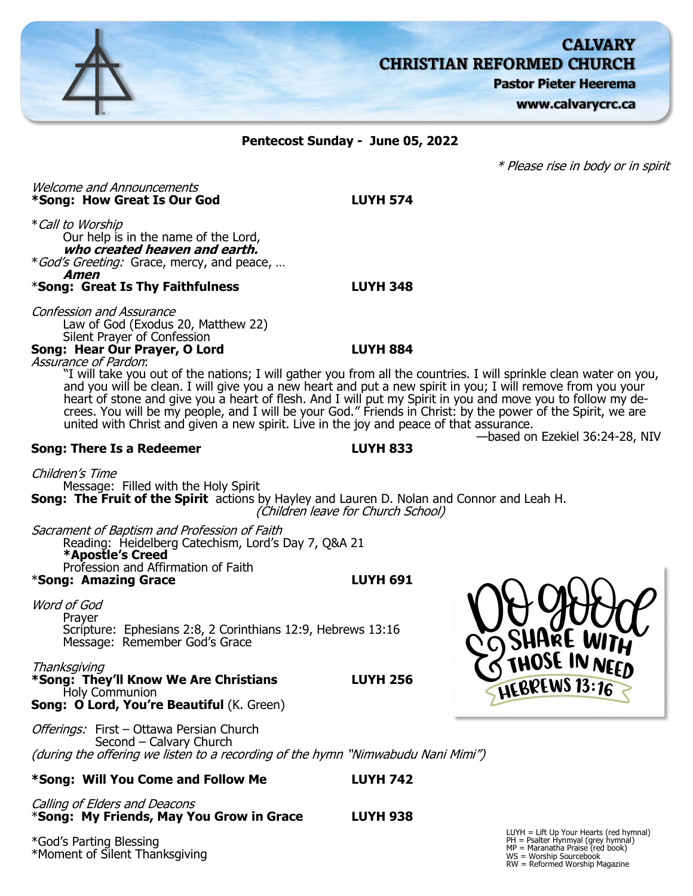

Offerings: First - Ottawa Persian Church Second – Calvary Church (during the offering we listen to a recording of the hymn "Nimwabudu Nani Mimi")

## **\*Song: Will You Come and Follow Me LUYH 742**

Calling of Elders and Deacons \***Song: My Friends, May You Grow in Grace LUYH 938**

\*God's Parting Blessing \*Moment of Silent Thanksgiving LUYH = Lift Up Your Hearts (red hymnal) PH = Psalter Hynmyal (grey hymnal) MP = Maranatha Praise (red book) WS = Worship Sourcebook RW = Reformed Worship Magazine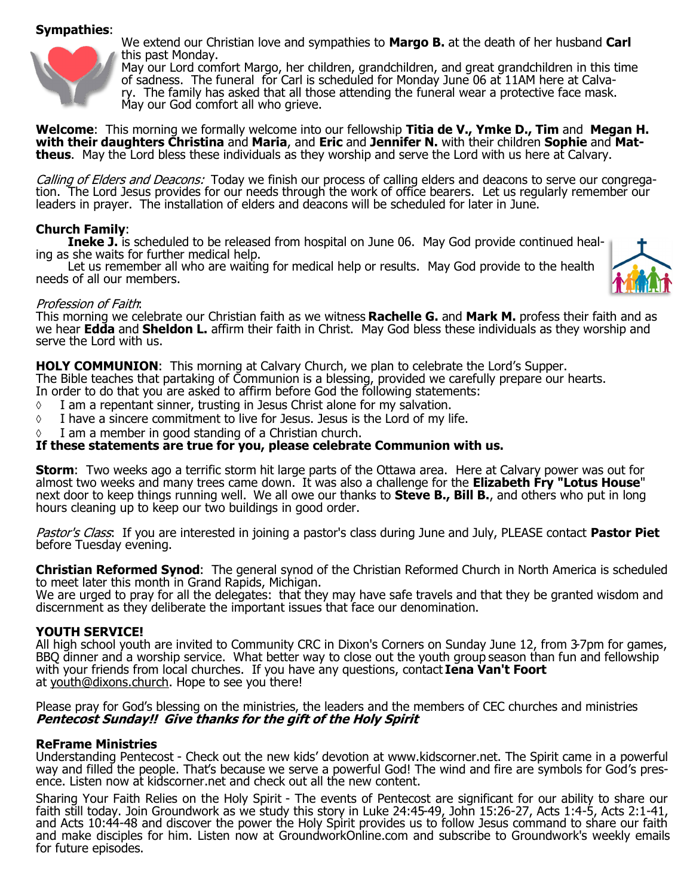# **Sympathies**:



We extend our Christian love and sympathies to **Margo B.** at the death of her husband **Carl**  this past Monday.

May our Lord comfort Margo, her children, grandchildren, and great grandchildren in this time of sadness. The funeral for Carl is scheduled for Monday June 06 at 11AM here at Calvary. The family has asked that all those attending the funeral wear a protective face mask. May our God comfort all who grieve.

**Welcome**: This morning we formally welcome into our fellowship **Titia de V., Ymke D., Tim** and **Megan H. with their daughters Christina** and **Maria**, and **Eric** and **Jennifer N.** with their children **Sophie** and **Mattheus**. May the Lord bless these individuals as they worship and serve the Lord with us here at Calvary.

Calling of Elders and Deacons: Today we finish our process of calling elders and deacons to serve our congregation. The Lord Jesus provides for our needs through the work of office bearers. Let us regularly remember our leaders in prayer. The installation of elders and deacons will be scheduled for later in June.

## **Church Family**:

**Ineke J.** is scheduled to be released from hospital on June 06. May God provide continued healing as she waits for further medical help.

Let us remember all who are waiting for medical help or results. May God provide to the health needs of all our members.



## Profession of Faith:

This morning we celebrate our Christian faith as we witness **Rachelle G.** and **Mark M.** profess their faith and as we hear **Edda** and **Sheldon L.** affirm their faith in Christ. May God bless these individuals as they worship and serve the Lord with us.

## **HOLY COMMUNION**: This morning at Calvary Church, we plan to celebrate the Lord's Supper.

The Bible teaches that partaking of Communion is a blessing, provided we carefully prepare our hearts.

- In order to do that you are asked to affirm before God the following statements:
- $\Diamond$  I am a repentant sinner, trusting in Jesus Christ alone for my salvation.
- $\Diamond$  I have a sincere commitment to live for Jesus. Jesus is the Lord of my life.
- I am a member in good standing of a Christian church.

# **If these statements are true for you, please celebrate Communion with us.**

**Storm**: Two weeks ago a terrific storm hit large parts of the Ottawa area. Here at Calvary power was out for almost two weeks and many trees came down. It was also a challenge for the **Elizabeth Fry "Lotus House**" next door to keep things running well. We all owe our thanks to **Steve B., Bill B.**, and others who put in long hours cleaning up to keep our two buildings in good order.

Pastor's Class: If you are interested in joining a pastor's class during June and July, PLEASE contact **Pastor Piet**  before Tuesday evening.

**Christian Reformed Synod**: The general synod of the Christian Reformed Church in North America is scheduled to meet later this month in Grand Rapids, Michigan.

We are urged to pray for all the delegates: that they may have safe travels and that they be granted wisdom and discernment as they deliberate the important issues that face our denomination.

## **YOUTH SERVICE!**

All high school youth are invited to Community CRC in Dixon's Corners on Sunday June 12, from 3-7pm for games, BBQ dinner and a worship service. What better way to close out the youth group season than fun and fellowship with your friends from local churches. If you have any questions, contact **Iena Van't Foort**  at [youth@dixons.church.](mailto:youth@dixons.church) Hope to see you there!

Please pray for God's blessing on the ministries, the leaders and the members of CEC churches and ministries **Pentecost Sunday!! Give thanks for the gift of the Holy Spirit**

## **ReFrame Ministries**

Understanding Pentecost - Check out the new kids' devotion at www.kidscorner.net. The Spirit came in a powerful way and filled the people. That's because we serve a powerful God! The wind and fire are symbols for God's presence. Listen now at kidscorner.net and check out all the new content.

Sharing Your Faith Relies on the Holy Spirit - The events of Pentecost are significant for our ability to share our faith still today. Join Groundwork as we study this story in Luke 24:45-49, John 15:26-27, Acts 1:4-5, Acts 2:1-41, and Acts 10:44-48 and discover the power the Holy Spirit provides us to follow Jesus command to share our faith and make disciples for him. Listen now at GroundworkOnline.com and subscribe to Groundwork's weekly emails for future episodes.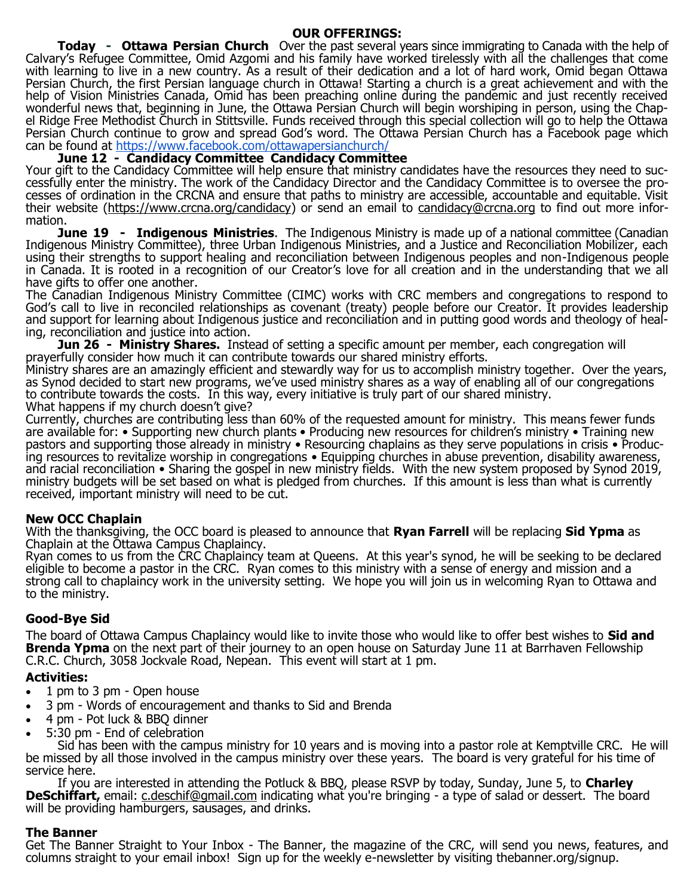#### **OUR OFFERINGS:**

**Today - Ottawa Persian Church** Over the past several years since immigrating to Canada with the help of Calvary's Refugee Committee, Omid Azgomi and his family have worked tirelessly with all the challenges that come with learning to live in a new country. As a result of their dedication and a lot of hard work, Omid began Ottawa Persian Church, the first Persian language church in Ottawa! Starting a church is a great achievement and with the help of Vision Ministries Canada, Omid has been preaching online during the pandemic and just recently received wonderful news that, beginning in June, the Ottawa Persian Church will begin worshiping in person, using the Chapel Ridge Free Methodist Church in Stittsville. Funds received through this special collection will go to help the Ottawa Persian Church continue to grow and spread God's word. The Ottawa Persian Church has a Facebook page which can be found at <https://www.facebook.com/ottawapersianchurch/>

## **June 12 - Candidacy Committee Candidacy Committee**

Your gift to the Candidacy Committee will help ensure that ministry candidates have the resources they need to successfully enter the ministry. The work of the Candidacy Director and the Candidacy Committee is to oversee the processes of ordination in the CRCNA and ensure that paths to ministry are accessible, accountable and equitable. Visit their website [\(https://www.crcna.org/candidacy\)](https://www.crcna.org/candidacy) or send an email to [candidacy@crcna.org](mailto:candidacy@crcna.org) to find out more information.

**June 19 - Indigenous Ministries**. The Indigenous Ministry is made up of a national committee (Canadian Indigenous Ministry Committee), three Urban Indigenous Ministries, and a Justice and Reconciliation Mobilizer, each using their strengths to support healing and reconciliation between Indigenous peoples and non-Indigenous people in Canada. It is rooted in a recognition of our Creator's love for all creation and in the understanding that we all have gifts to offer one another.

The Canadian Indigenous Ministry Committee (CIMC) works with CRC members and congregations to respond to God's call to live in reconciled relationships as covenant (treaty) people before our Creator. It provides leadership and support for learning about Indigenous justice and reconciliation and in putting good words and theology of healing, reconciliation and justice into action.

**Jun 26 - Ministry Shares.** Instead of setting a specific amount per member, each congregation will prayerfully consider how much it can contribute towards our shared ministry efforts.

Ministry shares are an amazingly efficient and stewardly way for us to accomplish ministry together. Over the years, as Synod decided to start new programs, we've used ministry shares as a way of enabling all of our congregations to contribute towards the costs. In this way, every initiative is truly part of our shared ministry. What happens if my church doesn't give?

Currently, churches are contributing less than 60% of the requested amount for ministry. This means fewer funds are available for: • Supporting new church plants • Producing new resources for children's ministry • Training new pastors and supporting those already in ministry • Resourcing chaplains as they serve populations in crisis • Producing resources to revitalize worship in congregations • Equipping churches in abuse prevention, disability awareness, and racial reconciliation • Sharing the gospel in new ministry fields. With the new system proposed by Synod 2019, ministry budgets will be set based on what is pledged from churches. If this amount is less than what is currently received, important ministry will need to be cut.

## **New OCC Chaplain**

With the thanksgiving, the OCC board is pleased to announce that **Ryan Farrell** will be replacing **Sid Ypma** as Chaplain at the Ottawa Campus Chaplaincy.

Ryan comes to us from the CRC Chaplaincy team at Queens. At this year's synod, he will be seeking to be declared eligible to become a pastor in the CRC. Ryan comes to this ministry with a sense of energy and mission and a strong call to chaplaincy work in the university setting. We hope you will join us in welcoming Ryan to Ottawa and to the ministry.

# **Good-Bye Sid**

The board of Ottawa Campus Chaplaincy would like to invite those who would like to offer best wishes to **Sid and Brenda Ypma** on the next part of their journey to an open house on Saturday June 11 at Barrhaven Fellowship C.R.C. Church, 3058 Jockvale Road, Nepean. This event will start at 1 pm.

# **Activities:**

- 1 pm to 3 pm Open house
- 3 pm Words of encouragement and thanks to Sid and Brenda
- 4 pm Pot luck & BBQ dinner
- 5:30 pm End of celebration

Sid has been with the campus ministry for 10 years and is moving into a pastor role at Kemptville CRC. He will be missed by all those involved in the campus ministry over these years. The board is very grateful for his time of service here.

If you are interested in attending the Potluck & BBQ, please RSVP by today, Sunday, June 5, to **Charley DeSchiffart,** email: *c.deschif@gmail.com* indicating what you're bringing - a type of salad or dessert. The board will be providing hamburgers, sausages, and drinks.

#### **The Banner**

Get The Banner Straight to Your Inbox - The Banner, the magazine of the CRC, will send you news, features, and columns straight to your email inbox! Sign up for the weekly e-newsletter by visiting thebanner.org/signup.